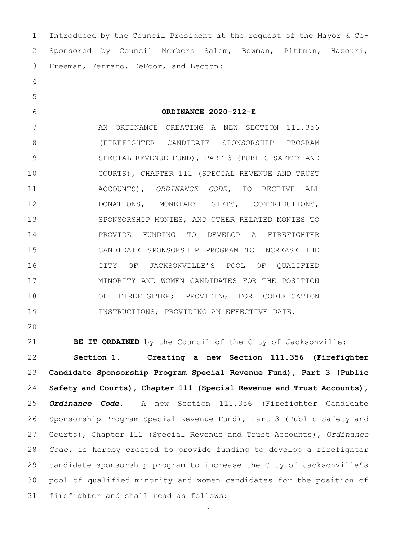Introduced by the Council President at the request of the Mayor & Co- Sponsored by Council Members Salem, Bowman, Pittman, Hazouri, Freeman, Ferraro, DeFoor, and Becton:

**ORDINANCE 2020-212-E**

7 AN ORDINANCE CREATING A NEW SECTION 111.356 (FIREFIGHTER CANDIDATE SPONSORSHIP PROGRAM 9 SPECIAL REVENUE FUND), PART 3 (PUBLIC SAFETY AND COURTS), CHAPTER 111 (SPECIAL REVENUE AND TRUST ACCOUNTS), *ORDINANCE CODE*, TO RECEIVE ALL DONATIONS, MONETARY GIFTS, CONTRIBUTIONS, 13 SPONSORSHIP MONIES, AND OTHER RELATED MONIES TO PROVIDE FUNDING TO DEVELOP A FIREFIGHTER CANDIDATE SPONSORSHIP PROGRAM TO INCREASE THE CITY OF JACKSONVILLE'S POOL OF QUALIFIED MINORITY AND WOMEN CANDIDATES FOR THE POSITION 18 OF FIREFIGHTER; PROVIDING FOR CODIFICATION 19 INSTRUCTIONS; PROVIDING AN EFFECTIVE DATE.

 **BE IT ORDAINED** by the Council of the City of Jacksonville: **Section 1. Creating a new Section 111.356 (Firefighter Candidate Sponsorship Program Special Revenue Fund), Part 3 (Public Safety and Courts), Chapter 111 (Special Revenue and Trust Accounts),**  *Ordinance Code***.** A new Section 111.356 (Firefighter Candidate Sponsorship Program Special Revenue Fund), Part 3 (Public Safety and Courts), Chapter 111 (Special Revenue and Trust Accounts), *Ordinance Code,* is hereby created to provide funding to develop a firefighter candidate sponsorship program to increase the City of Jacksonville's pool of qualified minority and women candidates for the position of firefighter and shall read as follows: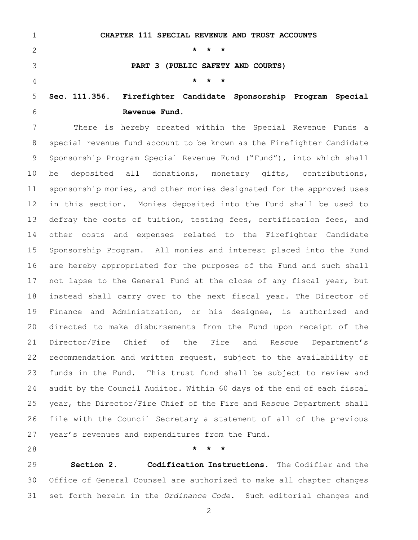**CHAPTER 111 SPECIAL REVENUE AND TRUST ACCOUNTS \* \* \* PART 3 (PUBLIC SAFETY AND COURTS) \* \* \* Sec. 111.356. Firefighter Candidate Sponsorship Program Special Revenue Fund.** There is hereby created within the Special Revenue Funds a 8 special revenue fund account to be known as the Firefighter Candidate 9 Sponsorship Program Special Revenue Fund ("Fund"), into which shall be deposited all donations, monetary gifts, contributions, 11 sponsorship monies, and other monies designated for the approved uses in this section. Monies deposited into the Fund shall be used to 13 defray the costs of tuition, testing fees, certification fees, and other costs and expenses related to the Firefighter Candidate Sponsorship Program. All monies and interest placed into the Fund

are hereby appropriated for the purposes of the Fund and such shall

17 | not lapse to the General Fund at the close of any fiscal year, but

instead shall carry over to the next fiscal year. The Director of

Finance and Administration, or his designee, is authorized and

directed to make disbursements from the Fund upon receipt of the

Director/Fire Chief of the Fire and Rescue Department's

recommendation and written request, subject to the availability of

funds in the Fund. This trust fund shall be subject to review and

audit by the Council Auditor. Within 60 days of the end of each fiscal

year, the Director/Fire Chief of the Fire and Rescue Department shall

file with the Council Secretary a statement of all of the previous

27 | year's revenues and expenditures from the Fund.

## **\* \* \***

 **Section 2. Codification Instructions.** The Codifier and the Office of General Counsel are authorized to make all chapter changes set forth herein in the *Ordinance Code*. Such editorial changes and